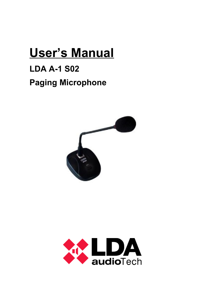# **User's Manual**

## **LDA A-1 S02 Paging Microphone**



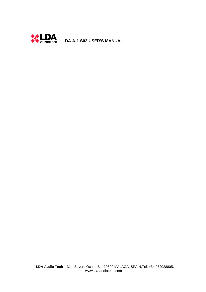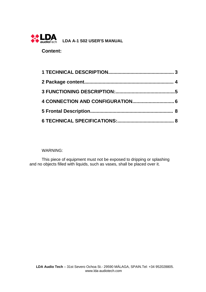

**LDA**<br>And audioTech LDA A-1 S02 USER'S MANUAL

## **Content:**

WARNING:

This piece of equipment must not be exposed to dripping or splashing and no objects filled with liquids, such as vases, shall be placed over it.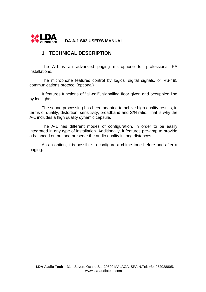

### **1 TECHNICAL DESCRIPTION**

The A-1 is an advanced paging microphone for professional PA installations.

The microphone features control by logical digital signals, or RS-485 communications protocol (optional)

It features functions of "all-call", signalling floor given and occuppied line by led lights.

The sound processing has been adapted to achive high quality results, in terms of quality, distortion, sensitivity, broadband and S/N ratio. That is why the A-1 includes a high quality dynamic capsule.

The A-1 has different modes of configuration, in order to be easily integrated in any type of installation. Additionally, it features pre-amp to provide a balanced output and preserve the audio quality in long distances.

As an option, it is possible to configure a chime tone before and after a paging.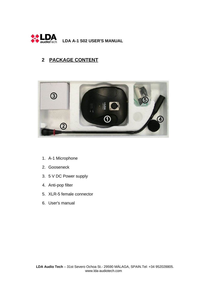

## **2 PACKAGE CONTENT**



- 1. A-1 Microphone
- 2. Gooseneck
- 3. 5 V DC Power supply
- 4. Anti-pop filter
- 5. XLR-5 female connector
- 6. User's manual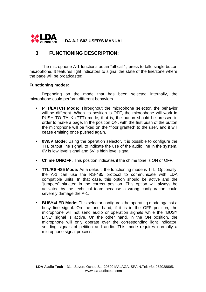

## **3 FUNCTIONING DESCRIPTION:**

The microphone A-1 functions as an "all-call" , press to talk, single button microphone. It features light indicators to signal the state of the line/zone where the page will be broadcasted.

#### **Functioning modes:**

Depending on the mode that has been selected internally, the microphone could perform different behaviors.

- **PTT/LATCH Mode:** Throughout the microphone selector, the behavior will be different. When its position is OFF, the microphone will work in PUSH TO TALK (PTT) mode, that is, the button should be pressed in order to make a page. In the position ON, with the first push of the button the microphone will be fixed on the "floor granted" to the user, and it will cease emitting once pushed again.
- **0V/5V Mode:** Using the operation selector, it is possible to configure the TTL output line signal, to indicate the use of the audio line in the system. 0V is low level signal and 5V is high level signal.
- **Chime ON/OFF:** This position indicates if the chime tone is ON or OFF.
- **TTL/RS-485 Mode:** As a default, the functioning mode is TTL. Optionally, the A-1 can use the RS-485 protocol to communicate with LDA compatible units. In that case, this option should be active and the "jumpers" situated in the correct position. This option will always be activated by the technical team because a wrong configuration could severely damage the A-1.
- **BUSY=LED Mode:** This selector configures the operating mode against a busy line signal. On the one hand, if it is in the OFF position, the microphone will not send audio or operation signals while the "BUSY LINE" signal is active. On the other hand, in the ON position, the microphone will only operate over the corresponding light indicator, sending signals of petition and audio. This mode requires normally a microphone signal process.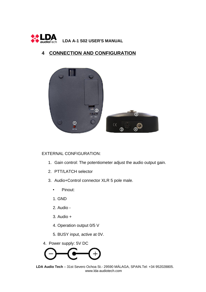

## **4 CONNECTION AND CONFIGURATION**



#### EXTERNAL CONFIGURATION:

- 1. Gain control: The potentiometer adjust the audio output gain.
- 2. PTT/LATCH selector
- 3. Audio+Control connector XLR 5 pole male.
	- Pinout:
	- 1. GND
	- 2. Audio -
	- 3. Audio +
	- 4. Operation output 0/5 V
	- 5. BUSY input, active at 0V.
- 4. Power supply: 5V DC



**7 LDA Audio Tech** – 31st Severo Ochoa St.- 29590 MÁLAGA, SPAIN.Tel: +34 952028805. www.lda-audiotech.com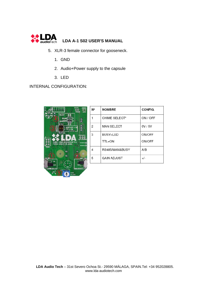

- 5. XLR-3 female connector for gooseneck.
	- 1. GND
	- 2. Audio+Power supply to the capsule
	- 3. LED

#### INTERNAL CONFIGURATION:



| Nº | <b>NOMBRE</b>      | CONFIG.  |
|----|--------------------|----------|
|    | CHIME SELECT*      | ON / OFF |
| 2  | <b>MAN SELECT</b>  | 0V/5V    |
| 3  | BUSY=LED           | ON/OFF   |
|    | $TTL=ON$           | ON/OFF   |
| 4  | RS485/MAN&BUSY     | A/B      |
| 5  | <b>GAIN ADJUST</b> | $+/-$    |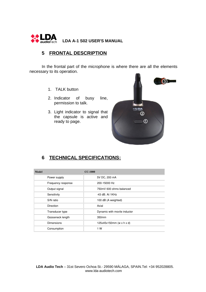

## **5 FRONTAL DESCRIPTION**

In the frontal part of the microphone is where there are all the elements necessary to its operation.

- 1. TALK button
- 2. Indicator of busy line, permission to talk.
- 3. Light indicator to signal that the capsule is active and ready to page.



## **6 TECHNICAL SPECIFICATIONS:**

| <b>Model</b>       | $CC-1000$                    |
|--------------------|------------------------------|
| Power supply       | 5V DC, 200 mA                |
| Frequency response | 200-15000 Hz                 |
| Output signal      | 750mV 600 ohms balanced      |
| Sensitivity        | $-43$ dB. At $1$ KHz         |
| S/N ratio          | 100 dB (A weighted)          |
| Direction          | Axial                        |
| Transducer type    | Dynamic with movile inductor |
| Gooseneck length   | 350mm                        |
| Dimensions         | 125x45x150mm (w x h x d)     |
| Consumption        | 1 W                          |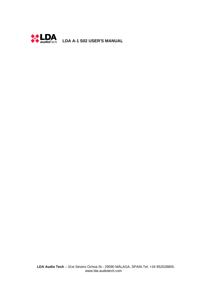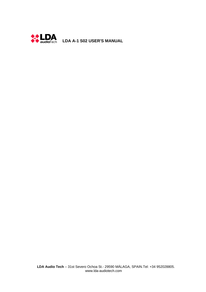